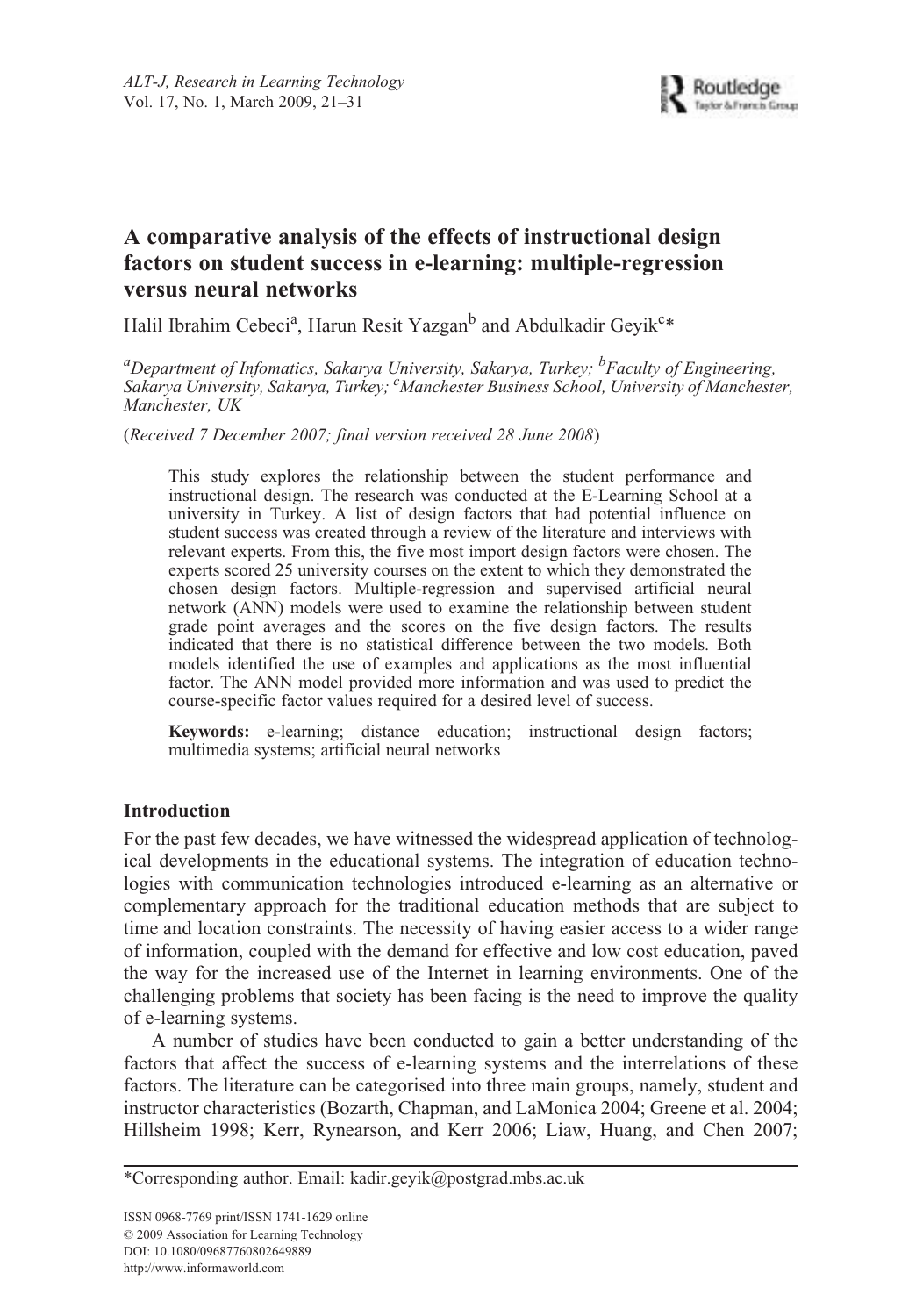# **A comparative analysis of the effects of instructional design factors on student success in e-learning: multiple-regression versus neural networks**

Halil Ibrahim Cebeci<sup>a</sup>, Harun Resit Yazgan<sup>b</sup> and Abdulkadir Geyik<sup>c</sup>\*

<sup>a</sup>Department of Infomatics, Sakarya University, Sakarya, Turkey; <sup>b</sup>Faculty of Engineering, *Sakarya University, Sakarya, Turkey; c Manchester Business School, University of Manchester, Manchester, UK*

(*Received 7 December 2007; final version received 28 June 2008*)

This study explores the relationship between the student performance and instructional design. The research was conducted at the E-Learning School at a university in Turkey. A list of design factors that had potential influence on student success was created through a review of the literature and interviews with relevant experts. From this, the five most import design factors were chosen. The experts scored 25 university courses on the extent to which they demonstrated the chosen design factors. Multiple-regression and supervised artificial neural network (ANN) models were used to examine the relationship between student grade point averages and the scores on the five design factors. The results indicated that there is no statistical difference between the two models. Both models identified the use of examples and applications as the most influential factor. The ANN model provided more information and was used to predict the course-specific factor values required for a desired level of success.

**Keywords:** e-learning; distance education; instructional design factors; multimedia systems; artificial neural networks

# **Introduction**

For the past few decades, we have witnessed the widespread application of technological developments in the educational systems. The integration of education technologies with communication technologies introduced e-learning as an alternative or complementary approach for the traditional education methods that are subject to time and location constraints. The necessity of having easier access to a wider range of information, coupled with the demand for effective and low cost education, paved the way for the increased use of the Internet in learning environments. One of the challenging problems that society has been facing is the need to improve the quality of e-learning systems.

A number of studies have been conducted to gain a better understanding of the factors that affect the success of e-learning systems and the interrelations of these factors. The literature can be categorised into three main groups, namely, student and instructor characteristics (Bozarth, Chapman, and LaMonica 2004; Greene et al. 2004; Hillsheim 1998; Kerr, Rynearson, and Kerr 2006; Liaw, Huang, and Chen 2007;

<sup>\*</sup>Corresponding author. Email: kadir.geyik@postgrad.mbs.ac.uk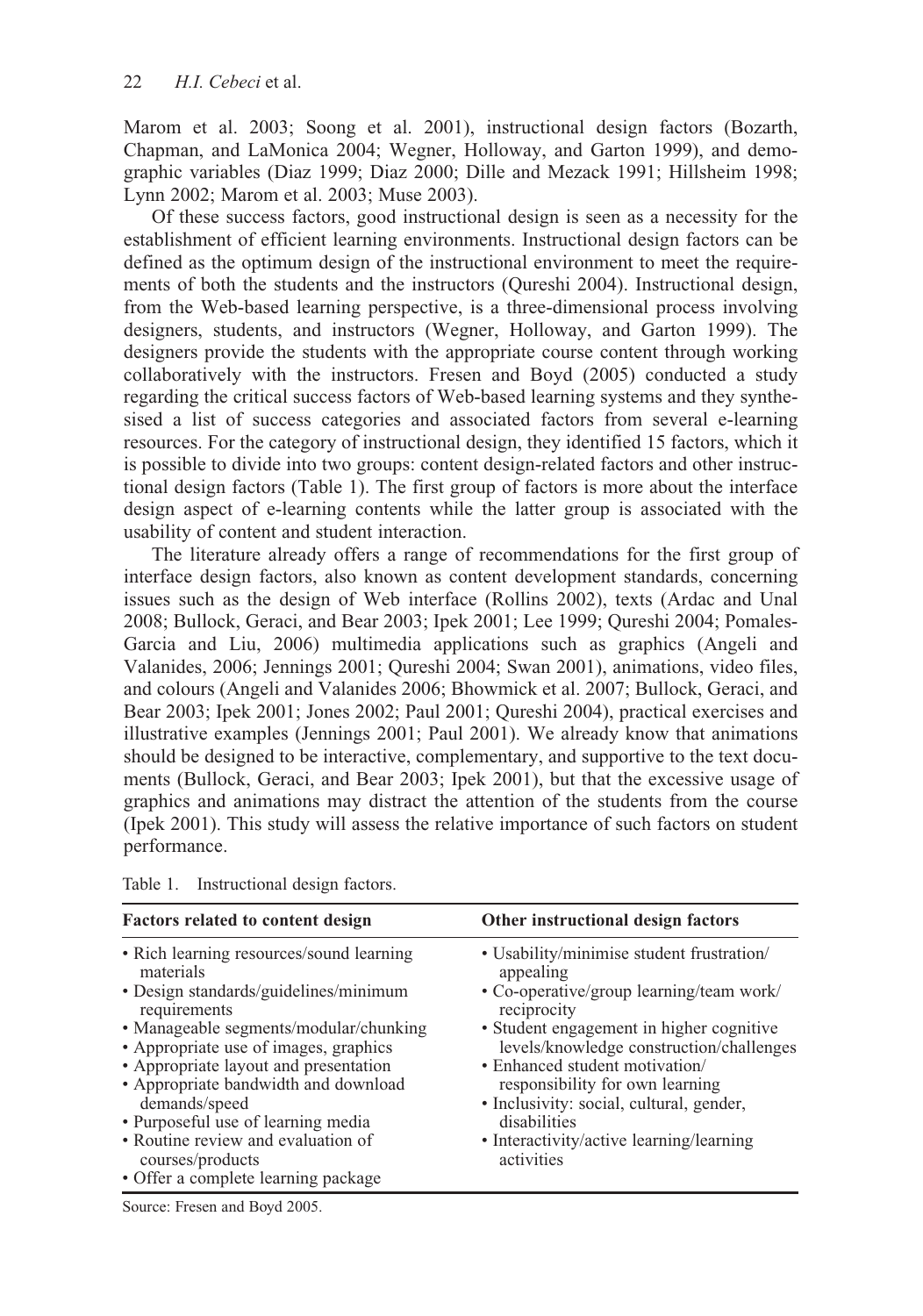Marom et al. 2003; Soong et al. 2001), instructional design factors (Bozarth, Chapman, and LaMonica 2004; Wegner, Holloway, and Garton 1999), and demographic variables (Diaz 1999; Diaz 2000; Dille and Mezack 1991; Hillsheim 1998; Lynn 2002; Marom et al. 2003; Muse 2003).

Of these success factors, good instructional design is seen as a necessity for the establishment of efficient learning environments. Instructional design factors can be defined as the optimum design of the instructional environment to meet the requirements of both the students and the instructors (Qureshi 2004). Instructional design, from the Web-based learning perspective, is a three-dimensional process involving designers, students, and instructors (Wegner, Holloway, and Garton 1999). The designers provide the students with the appropriate course content through working collaboratively with the instructors. Fresen and Boyd (2005) conducted a study regarding the critical success factors of Web-based learning systems and they synthesised a list of success categories and associated factors from several e-learning resources. For the category of instructional design, they identified 15 factors, which it is possible to divide into two groups: content design-related factors and other instructional design factors (Table 1). The first group of factors is more about the interface design aspect of e-learning contents while the latter group is associated with the usability of content and student interaction.

The literature already offers a range of recommendations for the first group of interface design factors, also known as content development standards, concerning issues such as the design of Web interface (Rollins 2002), texts (Ardac and Unal 2008; Bullock, Geraci, and Bear 2003; Ipek 2001; Lee 1999; Qureshi 2004; Pomales-Garcia and Liu, 2006) multimedia applications such as graphics (Angeli and Valanides, 2006; Jennings 2001; Qureshi 2004; Swan 2001), animations, video files, and colours (Angeli and Valanides 2006; Bhowmick et al. 2007; Bullock, Geraci, and Bear 2003; Ipek 2001; Jones 2002; Paul 2001; Qureshi 2004), practical exercises and illustrative examples (Jennings 2001; Paul 2001). We already know that animations should be designed to be interactive, complementary, and supportive to the text documents (Bullock, Geraci, and Bear 2003; Ipek 2001), but that the excessive usage of graphics and animations may distract the attention of the students from the course (Ipek 2001). This study will assess the relative importance of such factors on student performance.

| <b>Factors related to content design</b>                                                                                                                                                                                                                                                                                                                                                                                                   | Other instructional design factors                                                                                                                                                                                                                                                                                                                                                                   |
|--------------------------------------------------------------------------------------------------------------------------------------------------------------------------------------------------------------------------------------------------------------------------------------------------------------------------------------------------------------------------------------------------------------------------------------------|------------------------------------------------------------------------------------------------------------------------------------------------------------------------------------------------------------------------------------------------------------------------------------------------------------------------------------------------------------------------------------------------------|
| • Rich learning resources/sound learning<br>materials<br>• Design standards/guidelines/minimum<br>requirements<br>• Manageable segments/modular/chunking<br>• Appropriate use of images, graphics<br>• Appropriate layout and presentation<br>• Appropriate bandwidth and download<br>demands/speed<br>• Purposeful use of learning media<br>• Routine review and evaluation of<br>courses/products<br>• Offer a complete learning package | • Usability/minimise student frustration/<br>appealing<br>• Co-operative/group learning/team work/<br>reciprocity<br>• Student engagement in higher cognitive<br>levels/knowledge construction/challenges<br>• Enhanced student motivation/<br>responsibility for own learning<br>• Inclusivity: social, cultural, gender,<br>disabilities<br>• Interactivity/active learning/learning<br>activities |

Table 1. Instructional design factors.

Source: Fresen and Boyd 2005.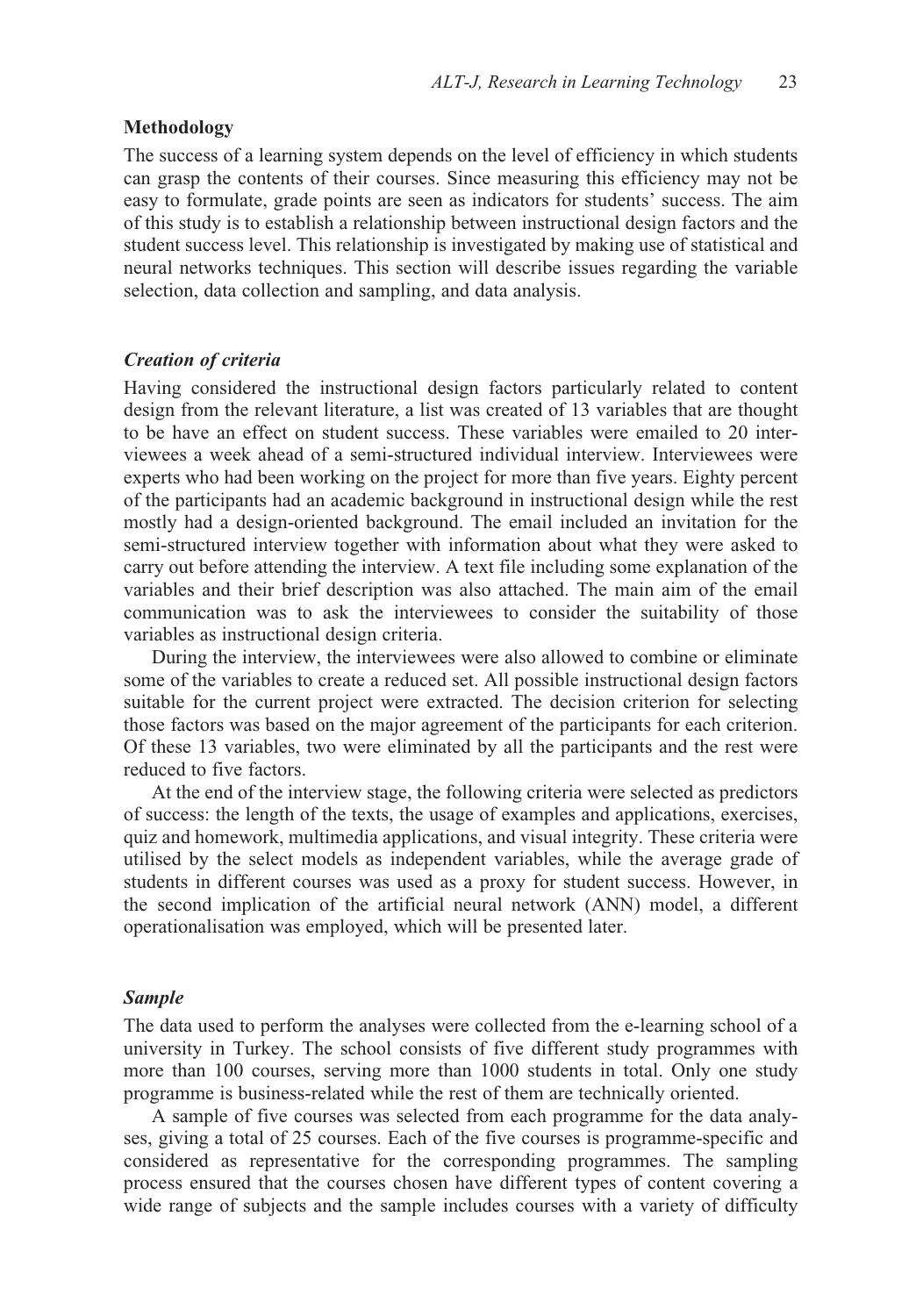## **Methodology**

The success of a learning system depends on the level of efficiency in which students can grasp the contents of their courses. Since measuring this efficiency may not be easy to formulate, grade points are seen as indicators for students' success. The aim of this study is to establish a relationship between instructional design factors and the student success level. This relationship is investigated by making use of statistical and neural networks techniques. This section will describe issues regarding the variable selection, data collection and sampling, and data analysis.

## *Creation of criteria*

Having considered the instructional design factors particularly related to content design from the relevant literature, a list was created of 13 variables that are thought to be have an effect on student success. These variables were emailed to 20 interviewees a week ahead of a semi-structured individual interview. Interviewees were experts who had been working on the project for more than five years. Eighty percent of the participants had an academic background in instructional design while the rest mostly had a design-oriented background. The email included an invitation for the semi-structured interview together with information about what they were asked to carry out before attending the interview. A text file including some explanation of the variables and their brief description was also attached. The main aim of the email communication was to ask the interviewees to consider the suitability of those variables as instructional design criteria.

During the interview, the interviewees were also allowed to combine or eliminate some of the variables to create a reduced set. All possible instructional design factors suitable for the current project were extracted. The decision criterion for selecting those factors was based on the major agreement of the participants for each criterion. Of these 13 variables, two were eliminated by all the participants and the rest were reduced to five factors.

At the end of the interview stage, the following criteria were selected as predictors of success: the length of the texts, the usage of examples and applications, exercises, quiz and homework, multimedia applications, and visual integrity. These criteria were utilised by the select models as independent variables, while the average grade of students in different courses was used as a proxy for student success. However, in the second implication of the artificial neural network (ANN) model, a different operationalisation was employed, which will be presented later.

#### *Sample*

The data used to perform the analyses were collected from the e-learning school of a university in Turkey. The school consists of five different study programmes with more than 100 courses, serving more than 1000 students in total. Only one study programme is business-related while the rest of them are technically oriented.

A sample of five courses was selected from each programme for the data analyses, giving a total of 25 courses. Each of the five courses is programme-specific and considered as representative for the corresponding programmes. The sampling process ensured that the courses chosen have different types of content covering a wide range of subjects and the sample includes courses with a variety of difficulty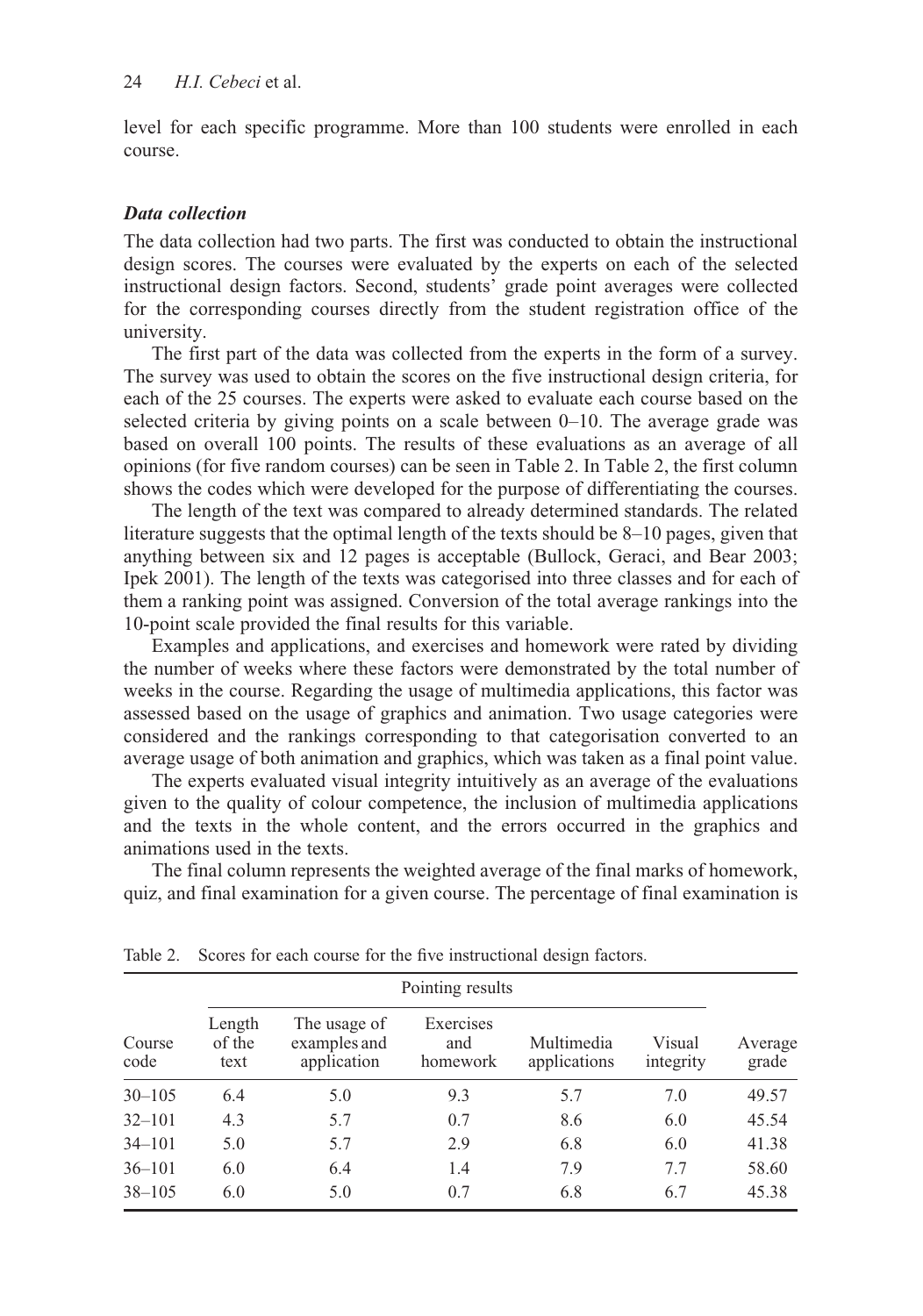level for each specific programme. More than 100 students were enrolled in each course.

# *Data collection*

The data collection had two parts. The first was conducted to obtain the instructional design scores. The courses were evaluated by the experts on each of the selected instructional design factors. Second, students' grade point averages were collected for the corresponding courses directly from the student registration office of the university.

The first part of the data was collected from the experts in the form of a survey. The survey was used to obtain the scores on the five instructional design criteria, for each of the 25 courses. The experts were asked to evaluate each course based on the selected criteria by giving points on a scale between 0–10. The average grade was based on overall 100 points. The results of these evaluations as an average of all opinions (for five random courses) can be seen in Table 2. In Table 2, the first column shows the codes which were developed for the purpose of differentiating the courses.

The length of the text was compared to already determined standards. The related literature suggests that the optimal length of the texts should be 8–10 pages, given that anything between six and 12 pages is acceptable (Bullock, Geraci, and Bear 2003; Ipek 2001). The length of the texts was categorised into three classes and for each of them a ranking point was assigned. Conversion of the total average rankings into the 10-point scale provided the final results for this variable.

Examples and applications, and exercises and homework were rated by dividing the number of weeks where these factors were demonstrated by the total number of weeks in the course. Regarding the usage of multimedia applications, this factor was assessed based on the usage of graphics and animation. Two usage categories were considered and the rankings corresponding to that categorisation converted to an average usage of both animation and graphics, which was taken as a final point value.

The experts evaluated visual integrity intuitively as an average of the evaluations given to the quality of colour competence, the inclusion of multimedia applications and the texts in the whole content, and the errors occurred in the graphics and animations used in the texts.

The final column represents the weighted average of the final marks of homework, quiz, and final examination for a given course. The percentage of final examination is

|                | Pointing results         |                                             |                              |                            |                     |                  |  |  |  |
|----------------|--------------------------|---------------------------------------------|------------------------------|----------------------------|---------------------|------------------|--|--|--|
| Course<br>code | Length<br>of the<br>text | The usage of<br>examples and<br>application | Exercises<br>and<br>homework | Multimedia<br>applications | Visual<br>integrity | Average<br>grade |  |  |  |
| $30 - 105$     | 6.4                      | 5.0                                         | 9.3                          | 5.7                        | 7.0                 | 49.57            |  |  |  |
| $32 - 101$     | 4.3                      | 5.7                                         | 0.7                          | 8.6                        | 6.0                 | 45.54            |  |  |  |
| $34 - 101$     | 5.0                      | 5.7                                         | 2.9                          | 6.8                        | 6.0                 | 41.38            |  |  |  |
| $36 - 101$     | 6.0                      | 6.4                                         | 1.4                          | 7.9                        | 7.7                 | 58.60            |  |  |  |
| $38 - 105$     | 6.0                      | 5.0                                         | 0.7                          | 6.8                        | 6.7                 | 45.38            |  |  |  |

Table 2. Scores for each course for the five instructional design factors.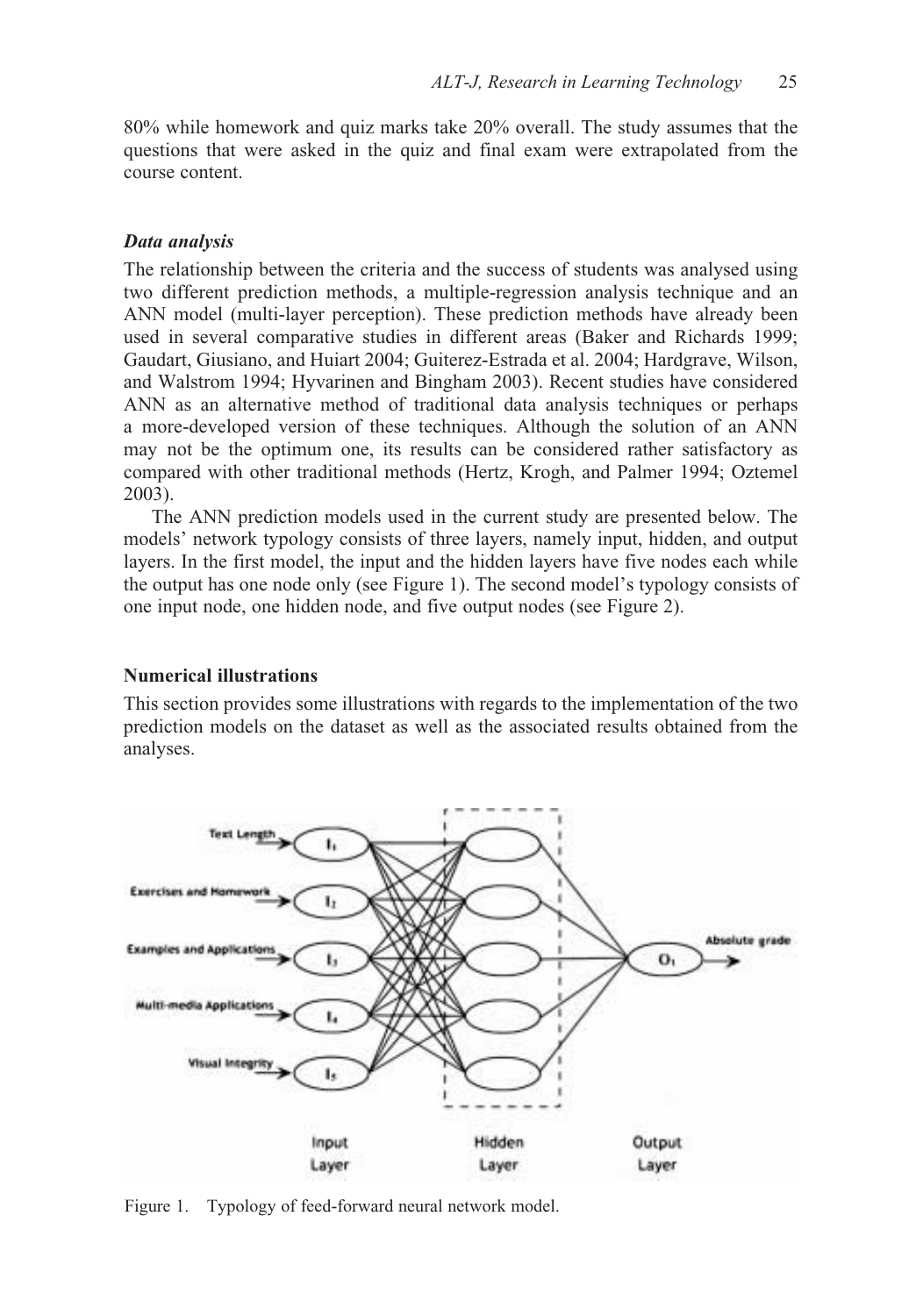80% while homework and quiz marks take 20% overall. The study assumes that the questions that were asked in the quiz and final exam were extrapolated from the course content.

#### *Data analysis*

The relationship between the criteria and the success of students was analysed using two different prediction methods, a multiple-regression analysis technique and an ANN model (multi-layer perception). These prediction methods have already been used in several comparative studies in different areas (Baker and Richards 1999; Gaudart, Giusiano, and Huiart 2004; Guiterez-Estrada et al. 2004; Hardgrave, Wilson, and Walstrom 1994; Hyvarinen and Bingham 2003). Recent studies have considered ANN as an alternative method of traditional data analysis techniques or perhaps a more-developed version of these techniques. Although the solution of an ANN may not be the optimum one, its results can be considered rather satisfactory as compared with other traditional methods (Hertz, Krogh, and Palmer 1994; Oztemel 2003).

The ANN prediction models used in the current study are presented below. The models' network typology consists of three layers, namely input, hidden, and output layers. In the first model, the input and the hidden layers have five nodes each while the output has one node only (see Figure 1). The second model's typology consists of one input node, one hidden node, and five output nodes (see Figure 2).

#### **Numerical illustrations**

This section provides some illustrations with regards to the implementation of the two prediction models on the dataset as well as the associated results obtained from the analyses.



Figure 1. Typology of feed-forward neural network model.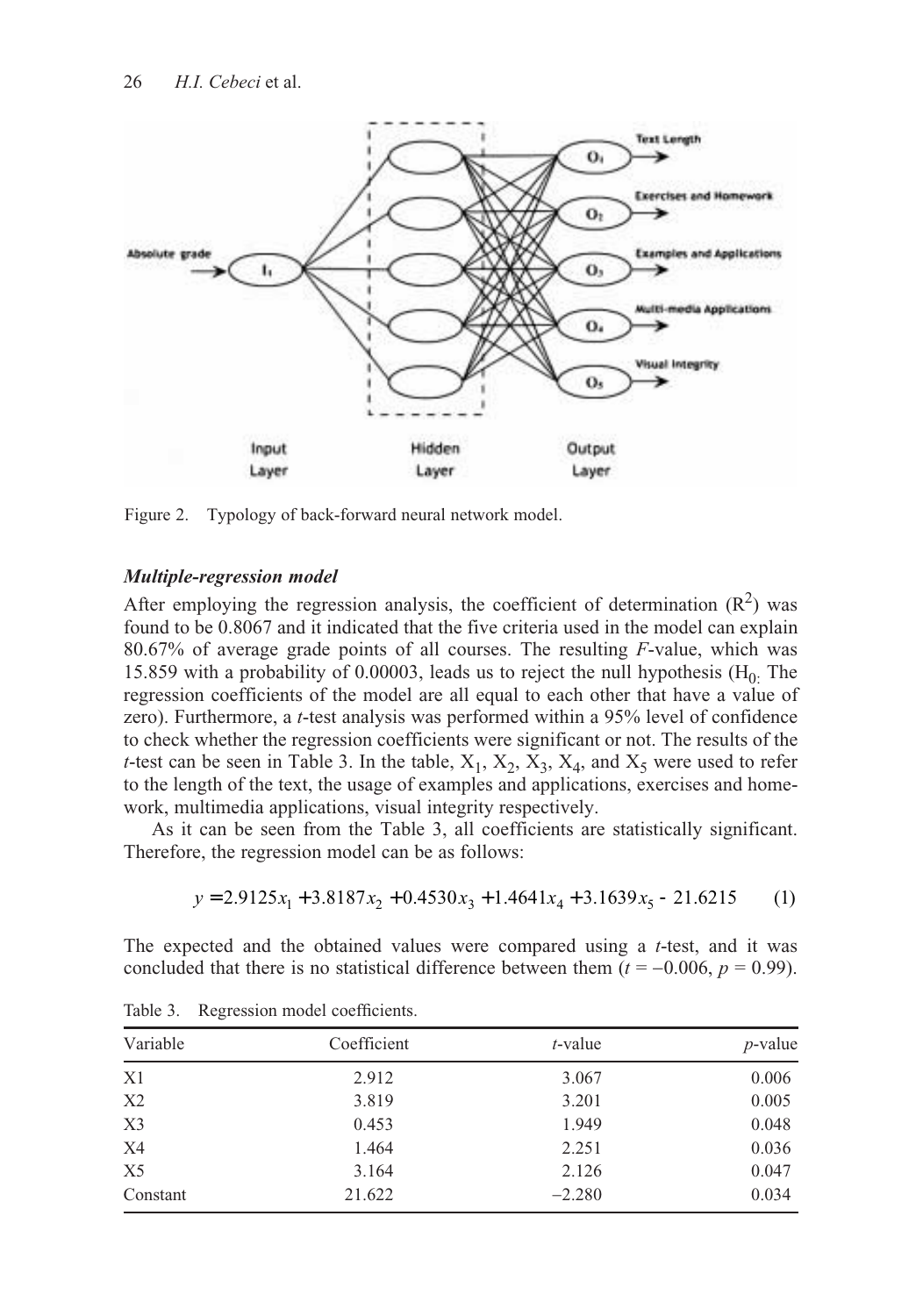

Figure 2. Typology of back-forward neural network model.

## *Multiple-regression model*

After employing the regression analysis, the coefficient of determination  $(R^2)$  was found to be 0.8067 and it indicated that the five criteria used in the model can explain 80.67% of average grade points of all courses. The resulting *F*-value, which was 15.859 with a probability of 0.00003, leads us to reject the null hypothesis  $(H_0$ . The regression coefficients of the model are all equal to each other that have a value of zero). Furthermore, a *t*-test analysis was performed within a 95% level of confidence to check whether the regression coefficients were significant or not. The results of the *t*-test can be seen in Table 3. In the table,  $X_1$ ,  $X_2$ ,  $X_3$ ,  $X_4$ , and  $X_5$  were used to refer to the length of the text, the usage of examples and applications, exercises and homework, multimedia applications, visual integrity respectively.

As it can be seen from the Table 3, all coefficients are statistically significant. Therefore, the regression model can be as follows:

$$
y = 2.9125x_1 + 3.8187x_2 + 0.4530x_3 + 1.4641x_4 + 3.1639x_5 - 21.6215
$$
 (1)

The expected and the obtained values were compared using a *t*-test, and it was concluded that there is no statistical difference between them  $(t = -0.006, p = 0.99)$ .

| Variable       | Coefficient | $t$ -value | $p$ -value |  |
|----------------|-------------|------------|------------|--|
| X1             | 2.912       | 3.067      | 0.006      |  |
| X2             | 3.819       | 3.201      | 0.005      |  |
| X3             | 0.453       | 1.949      | 0.048      |  |
| X4             | 1.464       | 2.251      | 0.036      |  |
| X <sub>5</sub> | 3.164       | 2.126      | 0.047      |  |
| Constant       | 21.622      | $-2.280$   | 0.034      |  |

Table 3. Regression model coefficients.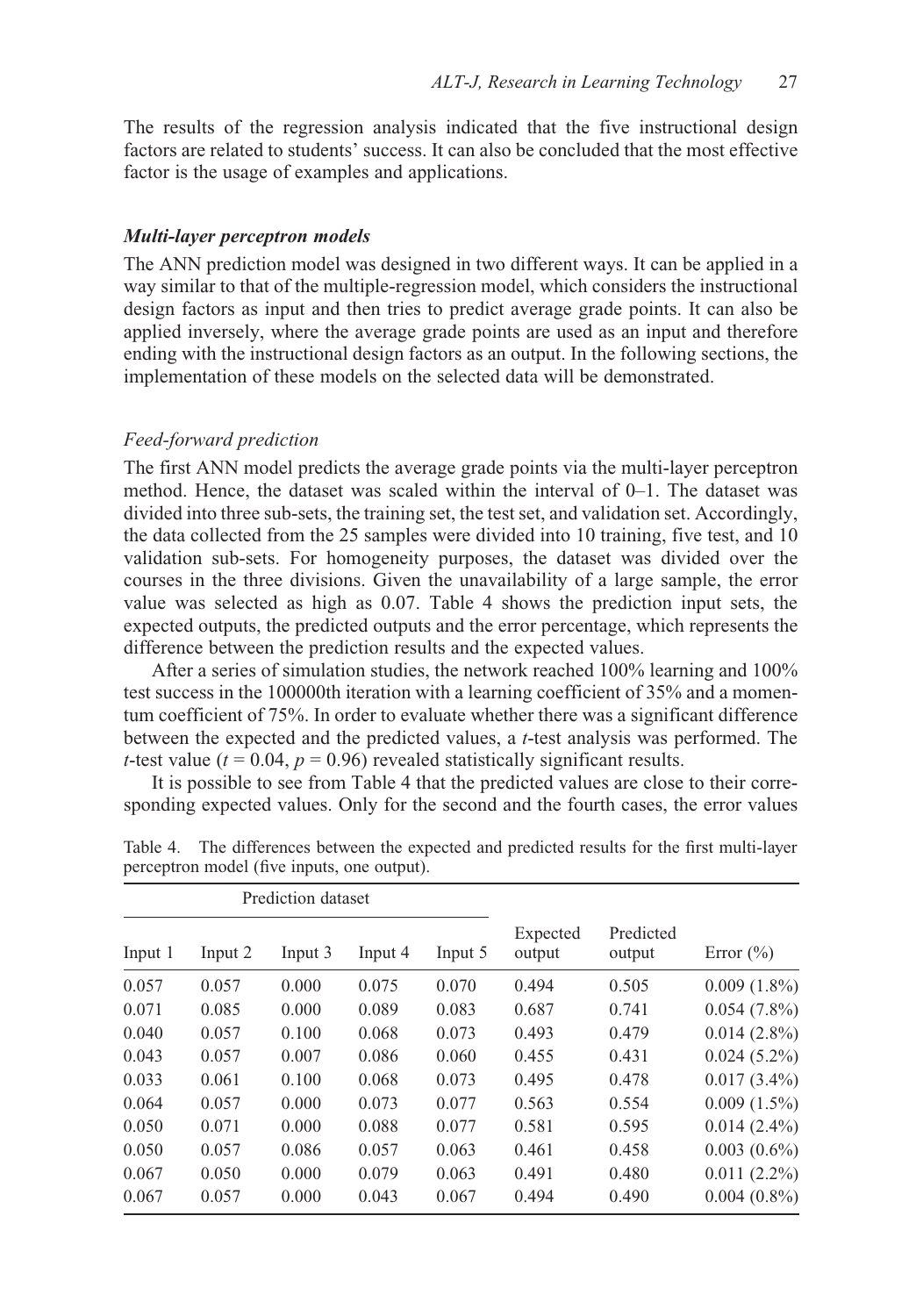The results of the regression analysis indicated that the five instructional design factors are related to students' success. It can also be concluded that the most effective factor is the usage of examples and applications.

#### *Multi-layer perceptron models*

The ANN prediction model was designed in two different ways. It can be applied in a way similar to that of the multiple-regression model, which considers the instructional design factors as input and then tries to predict average grade points. It can also be applied inversely, where the average grade points are used as an input and therefore ending with the instructional design factors as an output. In the following sections, the implementation of these models on the selected data will be demonstrated.

# *Feed-forward prediction*

The first ANN model predicts the average grade points via the multi-layer perceptron method. Hence, the dataset was scaled within the interval of 0–1. The dataset was divided into three sub-sets, the training set, the test set, and validation set. Accordingly, the data collected from the 25 samples were divided into 10 training, five test, and 10 validation sub-sets. For homogeneity purposes, the dataset was divided over the courses in the three divisions. Given the unavailability of a large sample, the error value was selected as high as 0.07. Table 4 shows the prediction input sets, the expected outputs, the predicted outputs and the error percentage, which represents the difference between the prediction results and the expected values.

After a series of simulation studies, the network reached 100% learning and 100% test success in the 100000th iteration with a learning coefficient of 35% and a momentum coefficient of 75%. In order to evaluate whether there was a significant difference between the expected and the predicted values, a *t*-test analysis was performed. The *t*-test value ( $t = 0.04$ ,  $p = 0.96$ ) revealed statistically significant results.

It is possible to see from Table 4 that the predicted values are close to their corresponding expected values. Only for the second and the fourth cases, the error values

| Prediction dataset |         |         |         |         |                    |                     |                |
|--------------------|---------|---------|---------|---------|--------------------|---------------------|----------------|
| Input 1            | Input 2 | Input 3 | Input 4 | Input 5 | Expected<br>output | Predicted<br>output | Error $(\% )$  |
| 0.057              | 0.057   | 0.000   | 0.075   | 0.070   | 0.494              | 0.505               | $0.009(1.8\%)$ |
| 0.071              | 0.085   | 0.000   | 0.089   | 0.083   | 0.687              | 0.741               | $0.054(7.8\%)$ |
| 0.040              | 0.057   | 0.100   | 0.068   | 0.073   | 0.493              | 0.479               | $0.014(2.8\%)$ |
| 0.043              | 0.057   | 0.007   | 0.086   | 0.060   | 0.455              | 0.431               | $0.024(5.2\%)$ |
| 0.033              | 0.061   | 0.100   | 0.068   | 0.073   | 0.495              | 0.478               | $0.017(3.4\%)$ |
| 0.064              | 0.057   | 0.000   | 0.073   | 0.077   | 0.563              | 0.554               | $0.009(1.5\%)$ |
| 0.050              | 0.071   | 0.000   | 0.088   | 0.077   | 0.581              | 0.595               | $0.014(2.4\%)$ |
| 0.050              | 0.057   | 0.086   | 0.057   | 0.063   | 0.461              | 0.458               | $0.003(0.6\%)$ |
| 0.067              | 0.050   | 0.000   | 0.079   | 0.063   | 0.491              | 0.480               | $0.011(2.2\%)$ |
| 0.067              | 0.057   | 0.000   | 0.043   | 0.067   | 0.494              | 0.490               | $0.004(0.8\%)$ |

Table 4. The differences between the expected and predicted results for the first multi-layer perceptron model (five inputs, one output).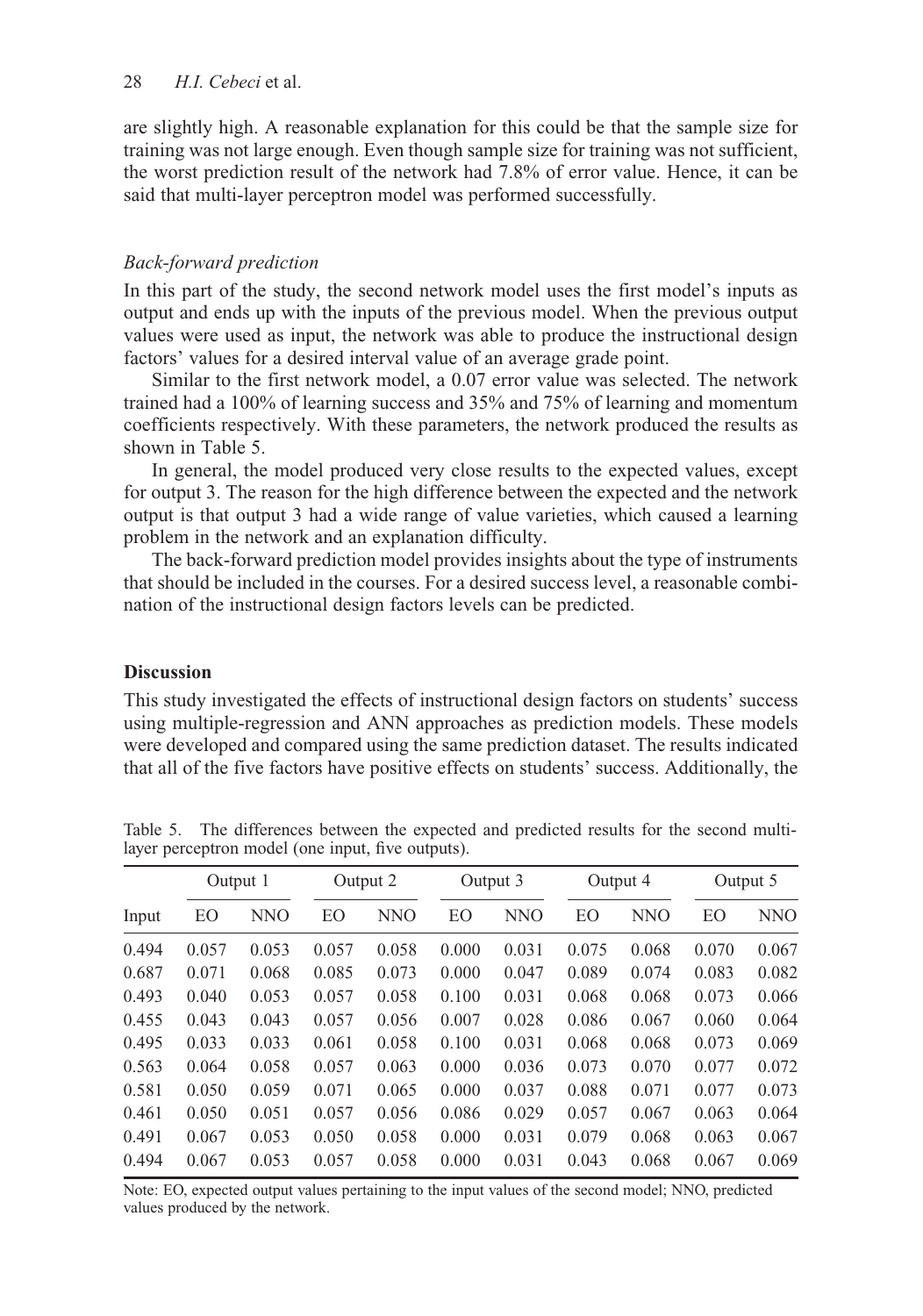are slightly high. A reasonable explanation for this could be that the sample size for training was not large enough. Even though sample size for training was not sufficient, the worst prediction result of the network had 7.8% of error value. Hence, it can be said that multi-layer perceptron model was performed successfully.

# *Back-forward prediction*

In this part of the study, the second network model uses the first model's inputs as output and ends up with the inputs of the previous model. When the previous output values were used as input, the network was able to produce the instructional design factors' values for a desired interval value of an average grade point.

Similar to the first network model, a 0.07 error value was selected. The network trained had a 100% of learning success and 35% and 75% of learning and momentum coefficients respectively. With these parameters, the network produced the results as shown in Table 5.

In general, the model produced very close results to the expected values, except for output 3. The reason for the high difference between the expected and the network output is that output 3 had a wide range of value varieties, which caused a learning problem in the network and an explanation difficulty.

The back-forward prediction model provides insights about the type of instruments that should be included in the courses. For a desired success level, a reasonable combination of the instructional design factors levels can be predicted.

## **Discussion**

This study investigated the effects of instructional design factors on students' success using multiple-regression and ANN approaches as prediction models. These models were developed and compared using the same prediction dataset. The results indicated that all of the five factors have positive effects on students' success. Additionally, the

|       | Output 1 |       | Output 2 |       | Output 3 |       | Output 4 |       | Output 5 |            |
|-------|----------|-------|----------|-------|----------|-------|----------|-------|----------|------------|
| Input | EΟ       | NNO   | EΟ       | NNO   | EО       | NNO   | EΟ       | NNO   | EO       | <b>NNO</b> |
| 0.494 | 0.057    | 0.053 | 0.057    | 0.058 | 0.000    | 0.031 | 0.075    | 0.068 | 0.070    | 0.067      |
| 0.687 | 0.071    | 0.068 | 0.085    | 0.073 | 0.000    | 0.047 | 0.089    | 0.074 | 0.083    | 0.082      |
| 0.493 | 0.040    | 0.053 | 0.057    | 0.058 | 0.100    | 0.031 | 0.068    | 0.068 | 0.073    | 0.066      |
| 0.455 | 0.043    | 0.043 | 0.057    | 0.056 | 0.007    | 0.028 | 0.086    | 0.067 | 0.060    | 0.064      |
| 0.495 | 0.033    | 0.033 | 0.061    | 0.058 | 0.100    | 0.031 | 0.068    | 0.068 | 0.073    | 0.069      |
| 0.563 | 0.064    | 0.058 | 0.057    | 0.063 | 0.000    | 0.036 | 0.073    | 0.070 | 0.077    | 0.072      |
| 0.581 | 0.050    | 0.059 | 0.071    | 0.065 | 0.000    | 0.037 | 0.088    | 0.071 | 0.077    | 0.073      |
| 0.461 | 0.050    | 0.051 | 0.057    | 0.056 | 0.086    | 0.029 | 0.057    | 0.067 | 0.063    | 0.064      |
| 0.491 | 0.067    | 0.053 | 0.050    | 0.058 | 0.000    | 0.031 | 0.079    | 0.068 | 0.063    | 0.067      |
| 0.494 | 0.067    | 0.053 | 0.057    | 0.058 | 0.000    | 0.031 | 0.043    | 0.068 | 0.067    | 0.069      |

Table 5. The differences between the expected and predicted results for the second multilayer perceptron model (one input, five outputs).

Note: EO, expected output values pertaining to the input values of the second model; NNO, predicted values produced by the network.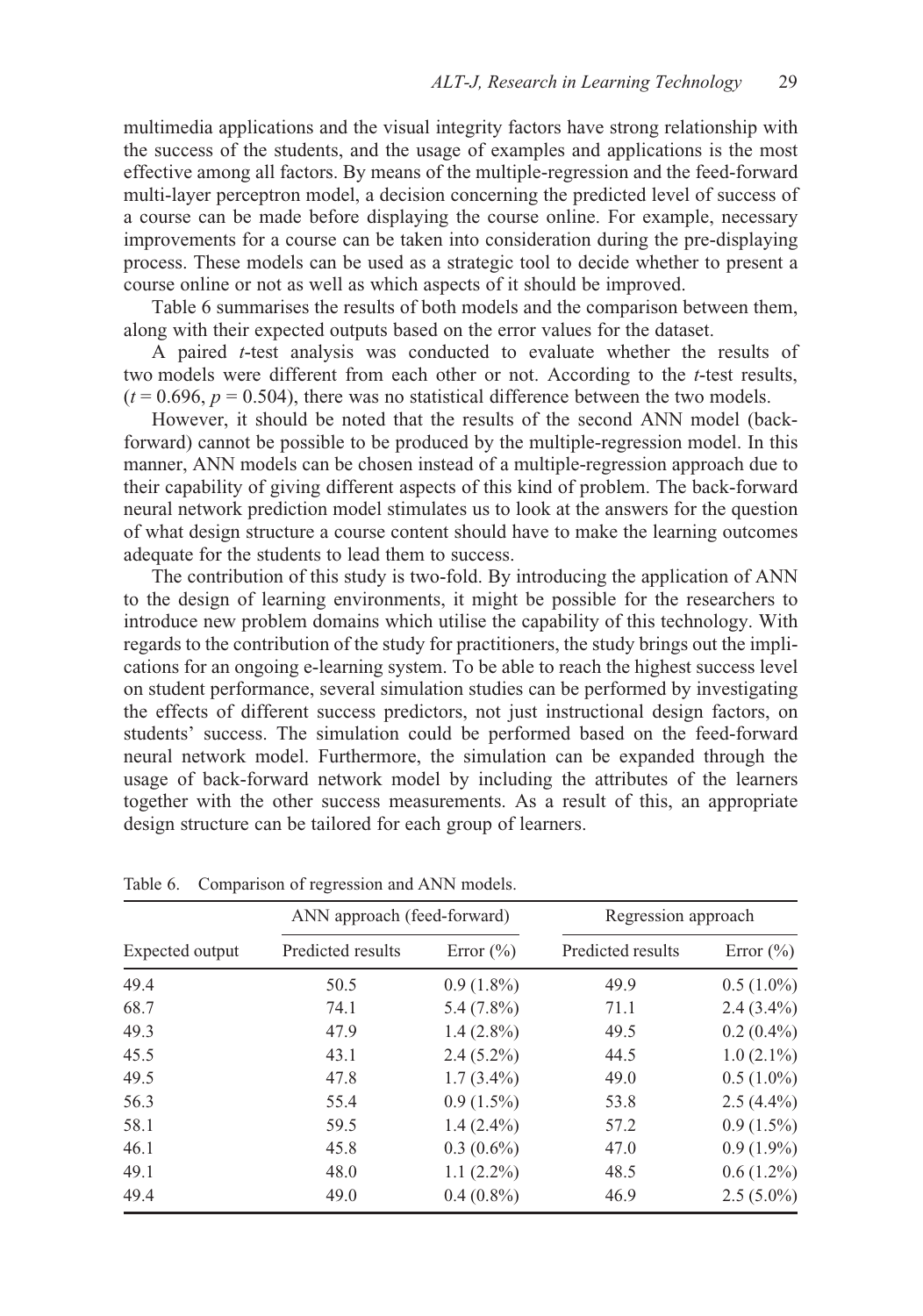multimedia applications and the visual integrity factors have strong relationship with the success of the students, and the usage of examples and applications is the most effective among all factors. By means of the multiple-regression and the feed-forward multi-layer perceptron model, a decision concerning the predicted level of success of a course can be made before displaying the course online. For example, necessary improvements for a course can be taken into consideration during the pre-displaying process. These models can be used as a strategic tool to decide whether to present a course online or not as well as which aspects of it should be improved.

Table 6 summarises the results of both models and the comparison between them, along with their expected outputs based on the error values for the dataset.

A paired *t*-test analysis was conducted to evaluate whether the results of two models were different from each other or not. According to the *t*-test results,  $(t = 0.696, p = 0.504)$ , there was no statistical difference between the two models.

However, it should be noted that the results of the second ANN model (backforward) cannot be possible to be produced by the multiple-regression model. In this manner, ANN models can be chosen instead of a multiple-regression approach due to their capability of giving different aspects of this kind of problem. The back-forward neural network prediction model stimulates us to look at the answers for the question of what design structure a course content should have to make the learning outcomes adequate for the students to lead them to success.

The contribution of this study is two-fold. By introducing the application of ANN to the design of learning environments, it might be possible for the researchers to introduce new problem domains which utilise the capability of this technology. With regards to the contribution of the study for practitioners, the study brings out the implications for an ongoing e-learning system. To be able to reach the highest success level on student performance, several simulation studies can be performed by investigating the effects of different success predictors, not just instructional design factors, on students' success. The simulation could be performed based on the feed-forward neural network model. Furthermore, the simulation can be expanded through the usage of back-forward network model by including the attributes of the learners together with the other success measurements. As a result of this, an appropriate design structure can be tailored for each group of learners.

|                 | ANN approach (feed-forward) |               | Regression approach |               |  |
|-----------------|-----------------------------|---------------|---------------------|---------------|--|
| Expected output | Predicted results           | Error $(\% )$ | Predicted results   | Error $(\% )$ |  |
| 49.4            | 50.5                        | $0.9(1.8\%)$  | 49.9                | $0.5(1.0\%)$  |  |
| 68.7            | 74.1                        | 5.4 $(7.8\%)$ | 71.1                | $2.4(3.4\%)$  |  |
| 49.3            | 47.9                        | $1.4(2.8\%)$  | 49.5                | $0.2(0.4\%)$  |  |
| 45.5            | 43.1                        | $2.4(5.2\%)$  | 44.5                | $1.0(2.1\%)$  |  |
| 49.5            | 47.8                        | $1.7(3.4\%)$  | 49.0                | $0.5(1.0\%)$  |  |
| 56.3            | 55.4                        | $0.9(1.5\%)$  | 53.8                | $2.5(4.4\%)$  |  |
| 58.1            | 59.5                        | $1.4(2.4\%)$  | 57.2                | $0.9(1.5\%)$  |  |
| 46.1            | 45.8                        | $0.3(0.6\%)$  | 47.0                | $0.9(1.9\%)$  |  |
| 49.1            | 48.0                        | $1.1(2.2\%)$  | 48.5                | $0.6(1.2\%)$  |  |
| 49.4            | 49.0                        | $0.4(0.8\%)$  | 46.9                | $2.5(5.0\%)$  |  |

Table 6. Comparison of regression and ANN models.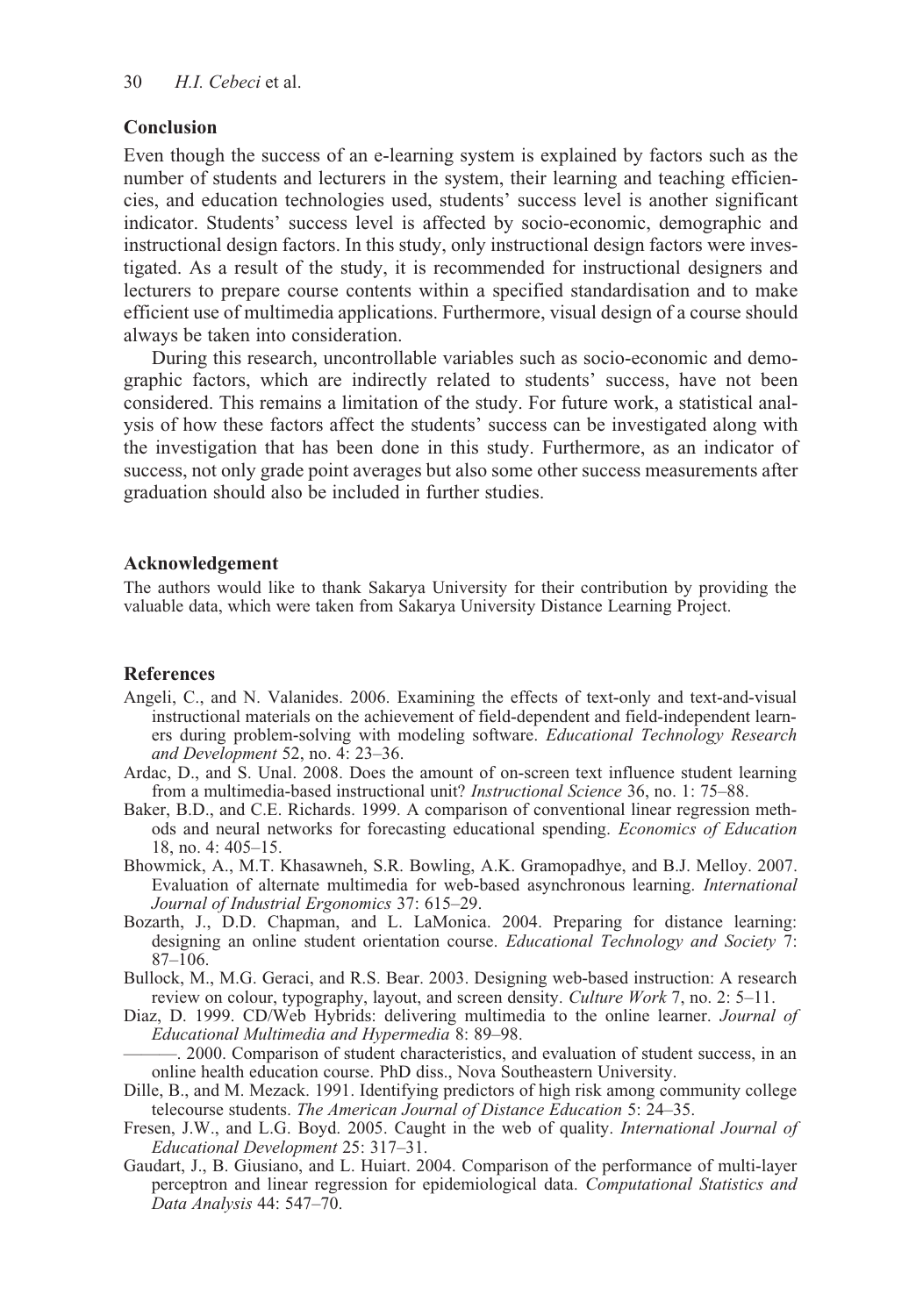# **Conclusion**

Even though the success of an e-learning system is explained by factors such as the number of students and lecturers in the system, their learning and teaching efficiencies, and education technologies used, students' success level is another significant indicator. Students' success level is affected by socio-economic, demographic and instructional design factors. In this study, only instructional design factors were investigated. As a result of the study, it is recommended for instructional designers and lecturers to prepare course contents within a specified standardisation and to make efficient use of multimedia applications. Furthermore, visual design of a course should always be taken into consideration.

During this research, uncontrollable variables such as socio-economic and demographic factors, which are indirectly related to students' success, have not been considered. This remains a limitation of the study. For future work, a statistical analysis of how these factors affect the students' success can be investigated along with the investigation that has been done in this study. Furthermore, as an indicator of success, not only grade point averages but also some other success measurements after graduation should also be included in further studies.

## **Acknowledgement**

The authors would like to thank Sakarya University for their contribution by providing the valuable data, which were taken from Sakarya University Distance Learning Project.

#### **References**

- Angeli, C., and N. Valanides. 2006. Examining the effects of text-only and text-and-visual instructional materials on the achievement of field-dependent and field-independent learners during problem-solving with modeling software. *Educational Technology Research and Development* 52, no. 4: 23–36.
- Ardac, D., and S. Unal. 2008. Does the amount of on-screen text influence student learning from a multimedia-based instructional unit? *Instructional Science* 36, no. 1: 75–88.
- Baker, B.D., and C.E. Richards. 1999. A comparison of conventional linear regression methods and neural networks for forecasting educational spending. *Economics of Education* 18, no. 4: 405–15.
- Bhowmick, A., M.T. Khasawneh, S.R. Bowling, A.K. Gramopadhye, and B.J. Melloy. 2007. Evaluation of alternate multimedia for web-based asynchronous learning. *International Journal of Industrial Ergonomics* 37: 615–29.
- Bozarth, J., D.D. Chapman, and L. LaMonica. 2004. Preparing for distance learning: designing an online student orientation course. *Educational Technology and Society* 7: 87–106.
- Bullock, M., M.G. Geraci, and R.S. Bear. 2003. Designing web-based instruction: A research review on colour, typography, layout, and screen density. *Culture Work* 7, no. 2: 5–11.
- Diaz, D. 1999. CD/Web Hybrids: delivering multimedia to the online learner. *Journal of Educational Multimedia and Hypermedia* 8: 89–98.
	- ———. 2000. Comparison of student characteristics, and evaluation of student success, in an online health education course. PhD diss., Nova Southeastern University.
- Dille, B., and M. Mezack. 1991. Identifying predictors of high risk among community college telecourse students. *The American Journal of Distance Education* 5: 24–35.
- Fresen, J.W., and L.G. Boyd. 2005. Caught in the web of quality. *International Journal of Educational Development* 25: 317–31.
- Gaudart, J., B. Giusiano, and L. Huiart. 2004. Comparison of the performance of multi-layer perceptron and linear regression for epidemiological data. *Computational Statistics and Data Analysis* 44: 547–70.